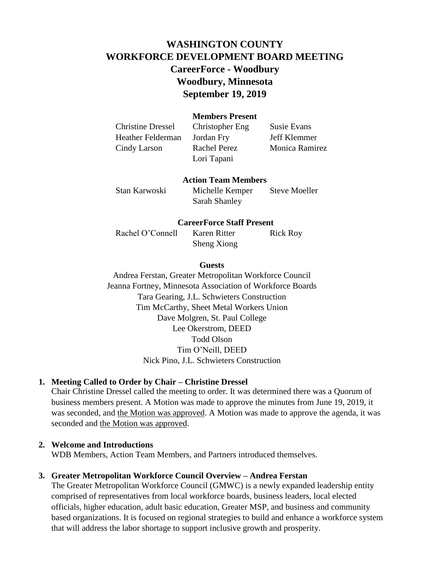# **WASHINGTON COUNTY WORKFORCE DEVELOPMENT BOARD MEETING CareerForce - Woodbury Woodbury, Minnesota September 19, 2019**

## **Members Present**

Christine Dressel Christopher Eng Susie Evans Heather Felderman Jordan Fry Jeff Klemmer Cindy Larson Rachel Perez Monica Ramirez

Lori Tapani

#### **Action Team Members**

Stan Karwoski Michelle Kemper Steve Moeller Sarah Shanley

#### **CareerForce Staff Present**

Rachel O'Connell Karen Ritter Rick Roy Sheng Xiong

#### **Guests**

Andrea Ferstan, Greater Metropolitan Workforce Council Jeanna Fortney, Minnesota Association of Workforce Boards Tara Gearing, J.L. Schwieters Construction Tim McCarthy, Sheet Metal Workers Union Dave Molgren, St. Paul College Lee Okerstrom, DEED Todd Olson Tim O'Neill, DEED Nick Pino, J.L. Schwieters Construction

# **1. Meeting Called to Order by Chair – Christine Dressel**

Chair Christine Dressel called the meeting to order. It was determined there was a Quorum of business members present. A Motion was made to approve the minutes from June 19, 2019, it was seconded, and the Motion was approved. A Motion was made to approve the agenda, it was seconded and the Motion was approved.

### **2. Welcome and Introductions**

WDB Members, Action Team Members, and Partners introduced themselves.

### **3. Greater Metropolitan Workforce Council Overview – Andrea Ferstan**

The Greater Metropolitan Workforce Council (GMWC) is a newly expanded leadership entity comprised of representatives from local workforce boards, business leaders, local elected officials, higher education, adult basic education, Greater MSP, and business and community based organizations. It is focused on regional strategies to build and enhance a workforce system that will address the labor shortage to support inclusive growth and prosperity.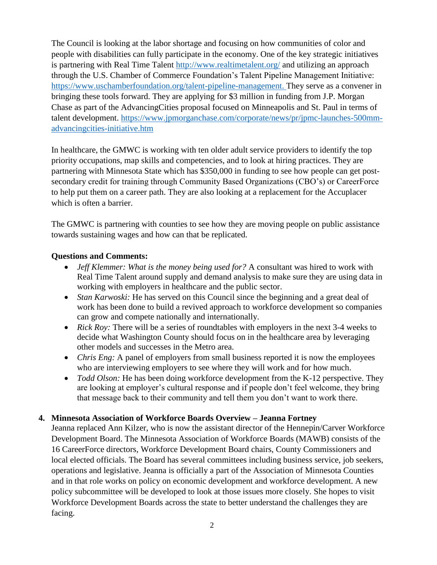The Council is looking at the labor shortage and focusing on how communities of color and people with disabilities can fully participate in the economy. One of the key strategic initiatives is partnering with Real Time Talent<http://www.realtimetalent.org/> and utilizing an approach through the U.S. Chamber of Commerce Foundation's Talent Pipeline Management Initiative: [https://www.uschamberfoundation.org/talent-pipeline-management.](https://www.uschamberfoundation.org/talent-pipeline-management) They serve as a convener in bringing these tools forward. They are applying for \$3 million in funding from J.P. Morgan Chase as part of the AdvancingCities proposal focused on Minneapolis and St. Paul in terms of talent development. [https://www.jpmorganchase.com/corporate/news/pr/jpmc-launches-500mm](https://www.jpmorganchase.com/corporate/news/pr/jpmc-launches-500mm-advancingcities-initiative.htm)[advancingcities-initiative.htm](https://www.jpmorganchase.com/corporate/news/pr/jpmc-launches-500mm-advancingcities-initiative.htm)

In healthcare, the GMWC is working with ten older adult service providers to identify the top priority occupations, map skills and competencies, and to look at hiring practices. They are partnering with Minnesota State which has \$350,000 in funding to see how people can get postsecondary credit for training through Community Based Organizations (CBO's) or CareerForce to help put them on a career path. They are also looking at a replacement for the Accuplacer which is often a barrier.

The GMWC is partnering with counties to see how they are moving people on public assistance towards sustaining wages and how can that be replicated.

## **Questions and Comments:**

- *Jeff Klemmer: What is the money being used for?* A consultant was hired to work with Real Time Talent around supply and demand analysis to make sure they are using data in working with employers in healthcare and the public sector.
- *Stan Karwoski:* He has served on this Council since the beginning and a great deal of work has been done to build a revived approach to workforce development so companies can grow and compete nationally and internationally.
- *Rick Roy:* There will be a series of roundtables with employers in the next 3-4 weeks to decide what Washington County should focus on in the healthcare area by leveraging other models and successes in the Metro area.
- *Chris Eng:* A panel of employers from small business reported it is now the employees who are interviewing employers to see where they will work and for how much.
- *Todd Olson:* He has been doing workforce development from the K-12 perspective. They are looking at employer's cultural response and if people don't feel welcome, they bring that message back to their community and tell them you don't want to work there.

# **4. Minnesota Association of Workforce Boards Overview – Jeanna Fortney**

Jeanna replaced Ann Kilzer, who is now the assistant director of the Hennepin/Carver Workforce Development Board. The Minnesota Association of Workforce Boards (MAWB) consists of the 16 CareerForce directors, Workforce Development Board chairs, County Commissioners and local elected officials. The Board has several committees including business service, job seekers, operations and legislative. Jeanna is officially a part of the Association of Minnesota Counties and in that role works on policy on economic development and workforce development. A new policy subcommittee will be developed to look at those issues more closely. She hopes to visit Workforce Development Boards across the state to better understand the challenges they are facing.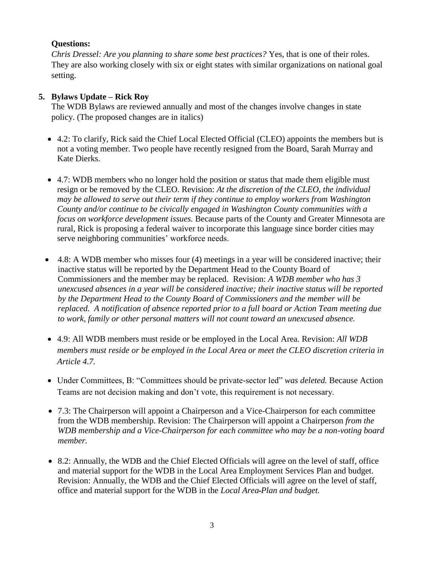# **Questions:**

*Chris Dressel: Are you planning to share some best practices?* Yes, that is one of their roles. They are also working closely with six or eight states with similar organizations on national goal setting.

# **5. Bylaws Update – Rick Roy**

The WDB Bylaws are reviewed annually and most of the changes involve changes in state policy. (The proposed changes are in italics)

- 4.2: To clarify, Rick said the Chief Local Elected Official (CLEO) appoints the members but is not a voting member. Two people have recently resigned from the Board, Sarah Murray and Kate Dierks.
- 4.7: WDB members who no longer hold the position or status that made them eligible must resign or be removed by the CLEO. Revision: *At the discretion of the CLEO, the individual may be allowed to serve out their term if they continue to employ workers from Washington County and/or continue to be civically engaged in Washington County communities with a focus on workforce development issues.* Because parts of the County and Greater Minnesota are rural, Rick is proposing a federal waiver to incorporate this language since border cities may serve neighboring communities' workforce needs.
- $\bullet$  4.8: A WDB member who misses four (4) meetings in a year will be considered inactive; their inactive status will be reported by the Department Head to the County Board of Commissioners and the member may be replaced. Revision: *A WDB member who has 3 unexcused absences in a year will be considered inactive; their inactive status will be reported by the Department Head to the County Board of Commissioners and the member will be replaced. A notification of absence reported prior to a full board or Action Team meeting due to work, family or other personal matters will not count toward an unexcused absence.*
- 4.9: All WDB members must reside or be employed in the Local Area. Revision: *All WDB members must reside or be employed in the Local Area or meet the CLEO discretion criteria in Article 4.7.*
- Under Committees, B: "Committees should be private-sector led" *was deleted.* Because Action Teams are not decision making and don't vote, this requirement is not necessary.
- 7.3: The Chairperson will appoint a Chairperson and a Vice-Chairperson for each committee from the WDB membership. Revision: The Chairperson will appoint a Chairperson *from the WDB membership and a Vice-Chairperson for each committee who may be a non-voting board member.*
- 8.2: Annually, the WDB and the Chief Elected Officials will agree on the level of staff, office and material support for the WDB in the Local Area Employment Services Plan and budget. Revision: Annually, the WDB and the Chief Elected Officials will agree on the level of staff, office and material support for the WDB in the *Local Area Plan and budget.*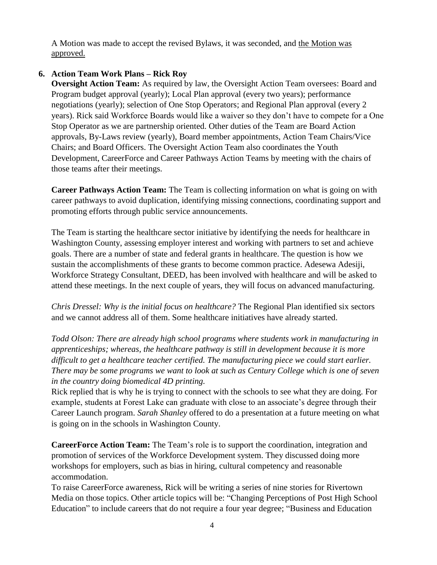A Motion was made to accept the revised Bylaws, it was seconded, and the Motion was approved.

# **6. Action Team Work Plans – Rick Roy**

**Oversight Action Team:** As required by law, the Oversight Action Team oversees: Board and Program budget approval (yearly); Local Plan approval (every two years); performance negotiations (yearly); selection of One Stop Operators; and Regional Plan approval (every 2 years). Rick said Workforce Boards would like a waiver so they don't have to compete for a One Stop Operator as we are partnership oriented. Other duties of the Team are Board Action approvals, By-Laws review (yearly), Board member appointments, Action Team Chairs/Vice Chairs; and Board Officers. The Oversight Action Team also coordinates the Youth Development, CareerForce and Career Pathways Action Teams by meeting with the chairs of those teams after their meetings.

**Career Pathways Action Team:** The Team is collecting information on what is going on with career pathways to avoid duplication, identifying missing connections, coordinating support and promoting efforts through public service announcements.

The Team is starting the healthcare sector initiative by identifying the needs for healthcare in Washington County, assessing employer interest and working with partners to set and achieve goals. There are a number of state and federal grants in healthcare. The question is how we sustain the accomplishments of these grants to become common practice. Adesewa Adesiji, Workforce Strategy Consultant, DEED, has been involved with healthcare and will be asked to attend these meetings. In the next couple of years, they will focus on advanced manufacturing.

*Chris Dressel: Why is the initial focus on healthcare?* The Regional Plan identified six sectors and we cannot address all of them. Some healthcare initiatives have already started.

*Todd Olson: There are already high school programs where students work in manufacturing in apprenticeships; whereas, the healthcare pathway is still in development because it is more difficult to get a healthcare teacher certified. The manufacturing piece we could start earlier. There may be some programs we want to look at such as Century College which is one of seven in the country doing biomedical 4D printing.* 

Rick replied that is why he is trying to connect with the schools to see what they are doing. For example, students at Forest Lake can graduate with close to an associate's degree through their Career Launch program. *Sarah Shanley* offered to do a presentation at a future meeting on what is going on in the schools in Washington County.

**CareerForce Action Team:** The Team's role is to support the coordination, integration and promotion of services of the Workforce Development system. They discussed doing more workshops for employers, such as bias in hiring, cultural competency and reasonable accommodation.

To raise CareerForce awareness, Rick will be writing a series of nine stories for Rivertown Media on those topics. Other article topics will be: "Changing Perceptions of Post High School Education" to include careers that do not require a four year degree; "Business and Education